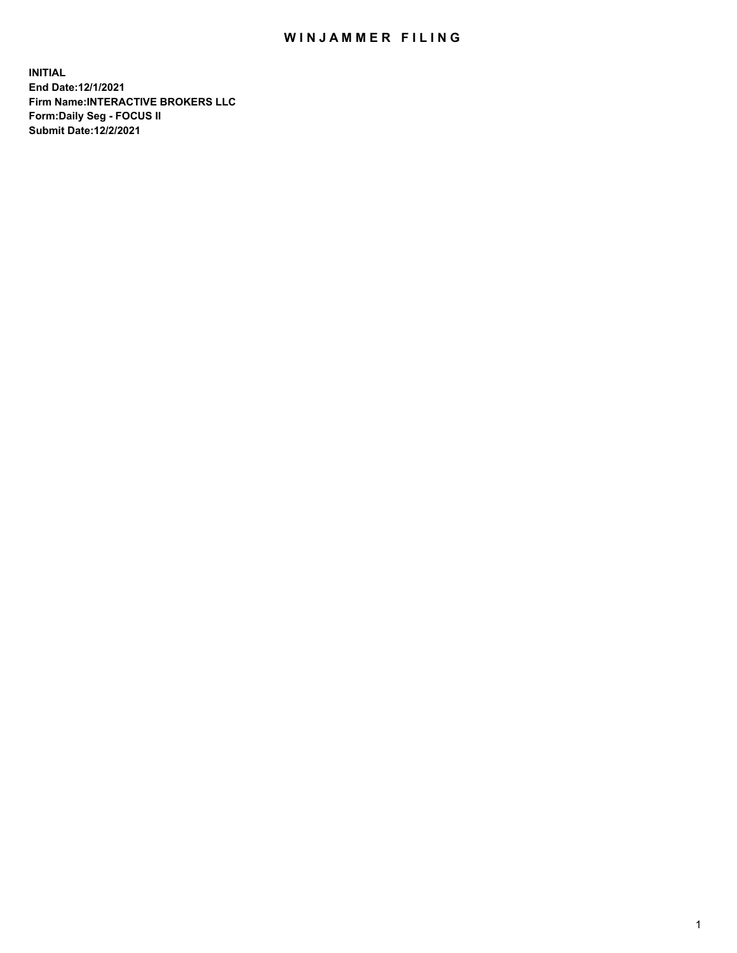## WIN JAMMER FILING

**INITIAL End Date:12/1/2021 Firm Name:INTERACTIVE BROKERS LLC Form:Daily Seg - FOCUS II Submit Date:12/2/2021**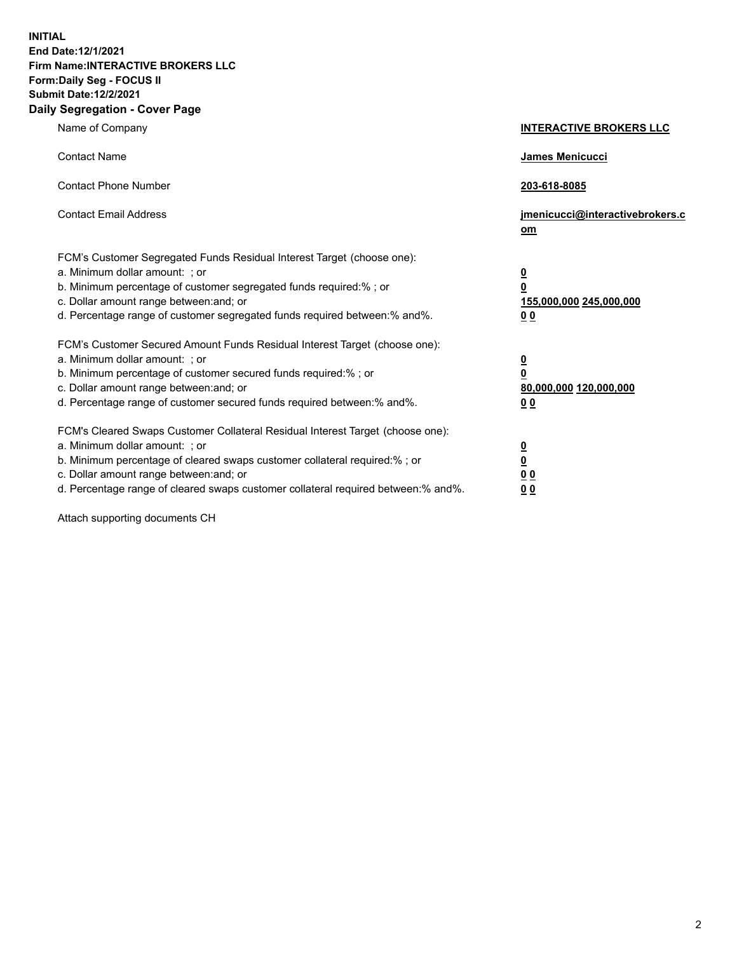**INITIAL End Date:12/1/2021 Firm Name:INTERACTIVE BROKERS LLC Form:Daily Seg - FOCUS II Submit Date:12/2/2021 Daily Segregation - Cover Page**

| Name of Company                                                                                                                                                                                                                                                                                                               | <b>INTERACTIVE BROKERS LLC</b>                                            |
|-------------------------------------------------------------------------------------------------------------------------------------------------------------------------------------------------------------------------------------------------------------------------------------------------------------------------------|---------------------------------------------------------------------------|
| <b>Contact Name</b>                                                                                                                                                                                                                                                                                                           | James Menicucci                                                           |
| <b>Contact Phone Number</b>                                                                                                                                                                                                                                                                                                   | 203-618-8085                                                              |
| <b>Contact Email Address</b>                                                                                                                                                                                                                                                                                                  | jmenicucci@interactivebrokers.c<br>$om$                                   |
| FCM's Customer Segregated Funds Residual Interest Target (choose one):<br>a. Minimum dollar amount: ; or<br>b. Minimum percentage of customer segregated funds required:% ; or<br>c. Dollar amount range between: and; or<br>d. Percentage range of customer segregated funds required between:% and%.                        | $\overline{\mathbf{0}}$<br>0<br>155,000,000 245,000,000<br>0 <sub>0</sub> |
| FCM's Customer Secured Amount Funds Residual Interest Target (choose one):<br>a. Minimum dollar amount: ; or<br>b. Minimum percentage of customer secured funds required:%; or<br>c. Dollar amount range between: and; or<br>d. Percentage range of customer secured funds required between:% and%.                           | $\overline{\mathbf{0}}$<br>$\pmb{0}$<br>80,000,000 120,000,000<br>00      |
| FCM's Cleared Swaps Customer Collateral Residual Interest Target (choose one):<br>a. Minimum dollar amount: ; or<br>b. Minimum percentage of cleared swaps customer collateral required:%; or<br>c. Dollar amount range between: and; or<br>d. Percentage range of cleared swaps customer collateral required between:% and%. | $\overline{\mathbf{0}}$<br><u>0</u><br>0 <sub>0</sub><br>0 <sub>0</sub>   |

Attach supporting documents CH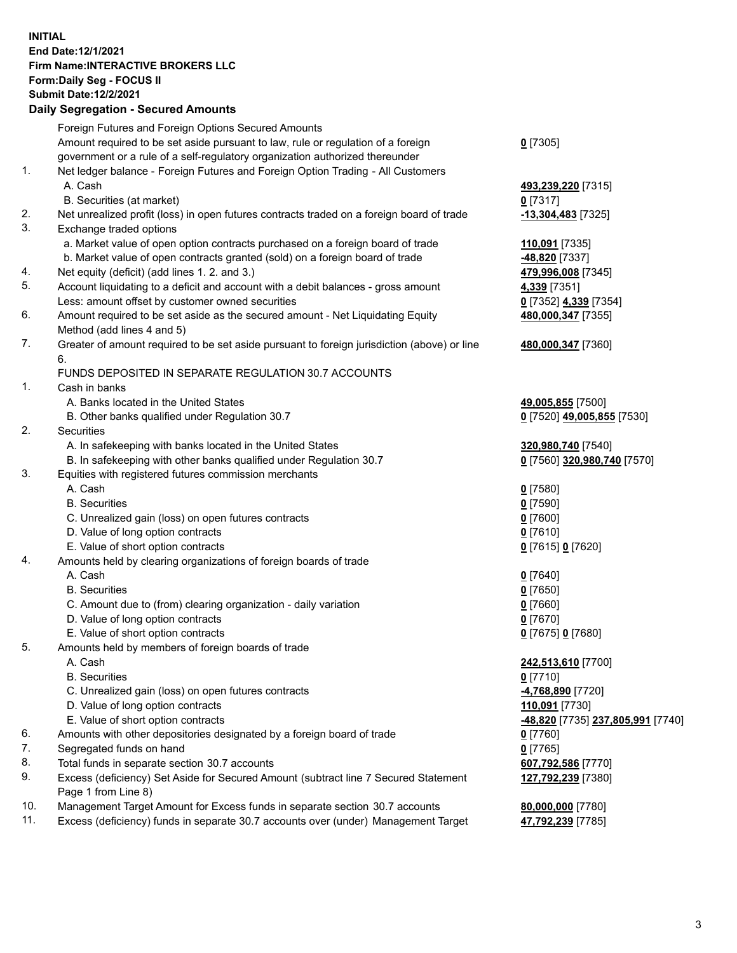## **INITIAL End Date:12/1/2021 Firm Name:INTERACTIVE BROKERS LLC Form:Daily Seg - FOCUS II Submit Date:12/2/2021 Daily Segregation - Secured Amounts**

|     | Dany Ocgregation - Occurea Anioants                                                         |                                          |
|-----|---------------------------------------------------------------------------------------------|------------------------------------------|
|     | Foreign Futures and Foreign Options Secured Amounts                                         |                                          |
|     | Amount required to be set aside pursuant to law, rule or regulation of a foreign            | $0$ [7305]                               |
|     | government or a rule of a self-regulatory organization authorized thereunder                |                                          |
| 1.  | Net ledger balance - Foreign Futures and Foreign Option Trading - All Customers             |                                          |
|     | A. Cash                                                                                     | 493,239,220 [7315]                       |
|     | B. Securities (at market)                                                                   | 0 [7317]                                 |
| 2.  | Net unrealized profit (loss) in open futures contracts traded on a foreign board of trade   | -13,304,483 [7325]                       |
| 3.  | Exchange traded options                                                                     |                                          |
|     | a. Market value of open option contracts purchased on a foreign board of trade              | 110,091 [7335]                           |
|     | b. Market value of open contracts granted (sold) on a foreign board of trade                | -48,820 [7337]                           |
| 4.  | Net equity (deficit) (add lines 1. 2. and 3.)                                               | 479,996,008 [7345]                       |
| 5.  | Account liquidating to a deficit and account with a debit balances - gross amount           | 4,339 [7351]                             |
|     | Less: amount offset by customer owned securities                                            | 0 [7352] 4,339 [7354]                    |
| 6.  | Amount required to be set aside as the secured amount - Net Liquidating Equity              | 480,000,347 [7355]                       |
|     | Method (add lines 4 and 5)                                                                  |                                          |
| 7.  | Greater of amount required to be set aside pursuant to foreign jurisdiction (above) or line | 480,000,347 [7360]                       |
|     | 6.                                                                                          |                                          |
|     | FUNDS DEPOSITED IN SEPARATE REGULATION 30.7 ACCOUNTS                                        |                                          |
| 1.  | Cash in banks                                                                               |                                          |
|     | A. Banks located in the United States                                                       | 49,005,855 [7500]                        |
|     | B. Other banks qualified under Regulation 30.7                                              | 0 [7520] 49,005,855 [7530]               |
| 2.  | <b>Securities</b>                                                                           |                                          |
|     | A. In safekeeping with banks located in the United States                                   | 320,980,740 [7540]                       |
|     | B. In safekeeping with other banks qualified under Regulation 30.7                          | 0 [7560] 320,980,740 [7570]              |
| 3.  | Equities with registered futures commission merchants                                       |                                          |
|     | A. Cash                                                                                     | $0$ [7580]                               |
|     | <b>B.</b> Securities                                                                        | $0$ [7590]                               |
|     | C. Unrealized gain (loss) on open futures contracts                                         | $0$ [7600]                               |
|     | D. Value of long option contracts                                                           | $0$ [7610]                               |
|     | E. Value of short option contracts                                                          | 0 [7615] 0 [7620]                        |
| 4.  | Amounts held by clearing organizations of foreign boards of trade                           |                                          |
|     | A. Cash                                                                                     | $0$ [7640]                               |
|     | <b>B.</b> Securities                                                                        | $0$ [7650]                               |
|     | C. Amount due to (from) clearing organization - daily variation                             | $0$ [7660]                               |
|     | D. Value of long option contracts                                                           | $0$ [7670]                               |
|     | E. Value of short option contracts                                                          | 0 [7675] 0 [7680]                        |
| 5.  | Amounts held by members of foreign boards of trade                                          |                                          |
|     | A. Cash                                                                                     | 242,513,610 [7700]                       |
|     | <b>B.</b> Securities                                                                        | $0$ [7710]                               |
|     | C. Unrealized gain (loss) on open futures contracts                                         | 4,768,890 [7720]                         |
|     | D. Value of long option contracts                                                           | 110,091 [7730]                           |
|     | E. Value of short option contracts                                                          | <u>-48,820</u> [7735] 237,805,991 [7740] |
| 6.  | Amounts with other depositories designated by a foreign board of trade                      | $0$ [7760]                               |
| 7.  | Segregated funds on hand                                                                    | $0$ [7765]                               |
| 8.  | Total funds in separate section 30.7 accounts                                               | 607,792,586 [7770]                       |
| 9.  | Excess (deficiency) Set Aside for Secured Amount (subtract line 7 Secured Statement         | 127,792,239 [7380]                       |
|     | Page 1 from Line 8)                                                                         |                                          |
| 10. | Management Target Amount for Excess funds in separate section 30.7 accounts                 | 80,000,000 [7780]                        |
| 11. | Excess (deficiency) funds in separate 30.7 accounts over (under) Management Target          | 47,792,239 [7785]                        |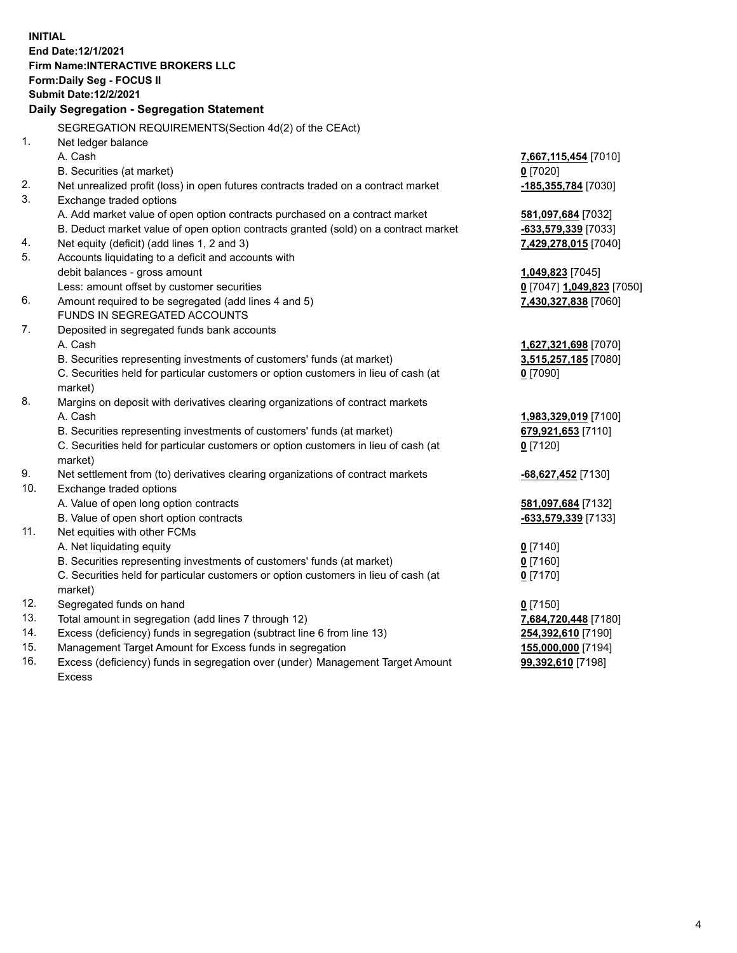**INITIAL End Date:12/1/2021 Firm Name:INTERACTIVE BROKERS LLC Form:Daily Seg - FOCUS II Submit Date:12/2/2021 Daily Segregation - Segregation Statement** SEGREGATION REQUIREMENTS(Section 4d(2) of the CEAct) 1. Net ledger balance A. Cash **7,667,115,454** [7010] B. Securities (at market) **0** [7020] 2. Net unrealized profit (loss) in open futures contracts traded on a contract market **-185,355,784** [7030] 3. Exchange traded options A. Add market value of open option contracts purchased on a contract market **581,097,684** [7032] B. Deduct market value of open option contracts granted (sold) on a contract market **-633,579,339** [7033] 4. Net equity (deficit) (add lines 1, 2 and 3) **7,429,278,015** [7040] 5. Accounts liquidating to a deficit and accounts with debit balances - gross amount **1,049,823** [7045] Less: amount offset by customer securities **0** [7047] **1,049,823** [7050] 6. Amount required to be segregated (add lines 4 and 5) **7,430,327,838** [7060] FUNDS IN SEGREGATED ACCOUNTS 7. Deposited in segregated funds bank accounts A. Cash **1,627,321,698** [7070] B. Securities representing investments of customers' funds (at market) **3,515,257,185** [7080] C. Securities held for particular customers or option customers in lieu of cash (at market) **0** [7090] 8. Margins on deposit with derivatives clearing organizations of contract markets A. Cash **1,983,329,019** [7100] B. Securities representing investments of customers' funds (at market) **679,921,653** [7110] C. Securities held for particular customers or option customers in lieu of cash (at market) **0** [7120] 9. Net settlement from (to) derivatives clearing organizations of contract markets **-68,627,452** [7130] 10. Exchange traded options A. Value of open long option contracts **581,097,684** [7132] B. Value of open short option contracts **-633,579,339** [7133] 11. Net equities with other FCMs A. Net liquidating equity **0** [7140] B. Securities representing investments of customers' funds (at market) **0** [7160] C. Securities held for particular customers or option customers in lieu of cash (at market) **0** [7170] 12. Segregated funds on hand **0** [7150] 13. Total amount in segregation (add lines 7 through 12) **7,684,720,448** [7180] 14. Excess (deficiency) funds in segregation (subtract line 6 from line 13) **254,392,610** [7190] 15. Management Target Amount for Excess funds in segregation **155,000,000** [7194] **99,392,610** [7198]

16. Excess (deficiency) funds in segregation over (under) Management Target Amount Excess